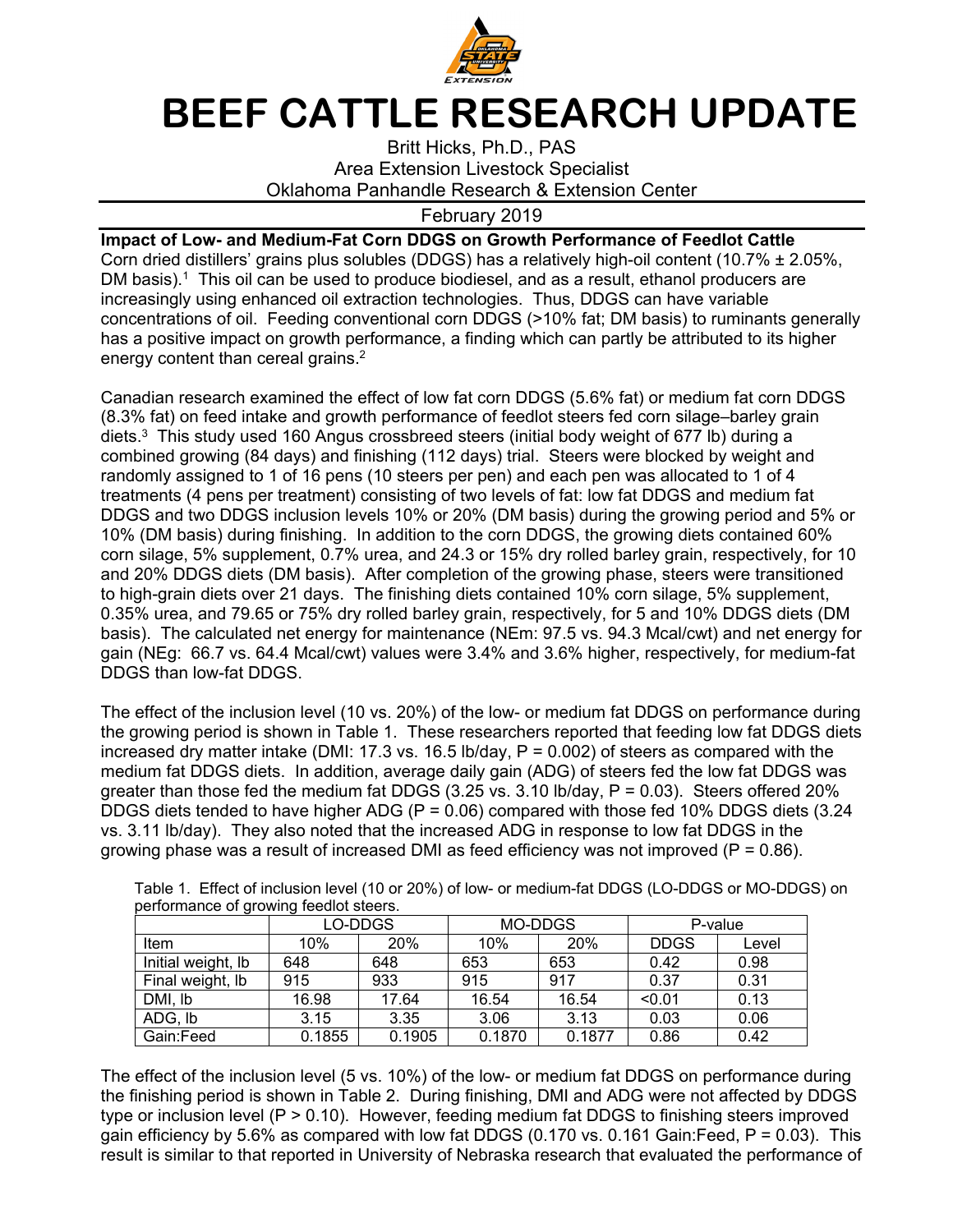

## **BEEF CATTLE RESEARCH UPDATE**

Britt Hicks, Ph.D., PAS Area Extension Livestock Specialist Oklahoma Panhandle Research & Extension Center

## February 2019

**Impact of Low- and Medium-Fat Corn DDGS on Growth Performance of Feedlot Cattle**  Corn dried distillers' grains plus solubles (DDGS) has a relatively high-oil content (10.7%  $\pm$  2.05%, DM basis).<sup>1</sup> This oil can be used to produce biodiesel, and as a result, ethanol producers are increasingly using enhanced oil extraction technologies. Thus, DDGS can have variable concentrations of oil. Feeding conventional corn DDGS (>10% fat; DM basis) to ruminants generally has a positive impact on growth performance, a finding which can partly be attributed to its higher energy content than cereal grains.<sup>2</sup>

Canadian research examined the effect of low fat corn DDGS (5.6% fat) or medium fat corn DDGS (8.3% fat) on feed intake and growth performance of feedlot steers fed corn silage–barley grain diets.3 This study used 160 Angus crossbreed steers (initial body weight of 677 lb) during a combined growing (84 days) and finishing (112 days) trial. Steers were blocked by weight and randomly assigned to 1 of 16 pens (10 steers per pen) and each pen was allocated to 1 of 4 treatments (4 pens per treatment) consisting of two levels of fat: low fat DDGS and medium fat DDGS and two DDGS inclusion levels 10% or 20% (DM basis) during the growing period and 5% or 10% (DM basis) during finishing. In addition to the corn DDGS, the growing diets contained 60% corn silage, 5% supplement, 0.7% urea, and 24.3 or 15% dry rolled barley grain, respectively, for 10 and 20% DDGS diets (DM basis). After completion of the growing phase, steers were transitioned to high-grain diets over 21 days. The finishing diets contained 10% corn silage, 5% supplement, 0.35% urea, and 79.65 or 75% dry rolled barley grain, respectively, for 5 and 10% DDGS diets (DM basis). The calculated net energy for maintenance (NEm: 97.5 vs. 94.3 Mcal/cwt) and net energy for gain (NEg: 66.7 vs. 64.4 Mcal/cwt) values were 3.4% and 3.6% higher, respectively, for medium-fat DDGS than low-fat DDGS.

The effect of the inclusion level (10 vs. 20%) of the low- or medium fat DDGS on performance during the growing period is shown in Table 1. These researchers reported that feeding low fat DDGS diets increased dry matter intake (DMI: 17.3 vs. 16.5 lb/day,  $P = 0.002$ ) of steers as compared with the medium fat DDGS diets. In addition, average daily gain (ADG) of steers fed the low fat DDGS was greater than those fed the medium fat DDGS  $(3.25 \text{ vs. } 3.10 \text{ lb/day}, P = 0.03)$ . Steers offered 20% DDGS diets tended to have higher ADG ( $P = 0.06$ ) compared with those fed 10% DDGS diets (3.24 vs. 3.11 lb/day). They also noted that the increased ADG in response to low fat DDGS in the growing phase was a result of increased DMI as feed efficiency was not improved  $(P = 0.86)$ .

| periormance or growing reediot steers. |         |            |         |        |             |       |  |  |  |  |
|----------------------------------------|---------|------------|---------|--------|-------------|-------|--|--|--|--|
|                                        | LO-DDGS |            | MO-DDGS |        | P-value     |       |  |  |  |  |
| Item                                   | 10%     | <b>20%</b> | 10%     | 20%    | <b>DDGS</b> | Level |  |  |  |  |
| Initial weight, Ib                     | 648     | 648        | 653     | 653    | 0.42        | 0.98  |  |  |  |  |
| Final weight, lb                       | 915     | 933        | 915     | 917    | 0.37        | 0.31  |  |  |  |  |
| DMI, Ib                                | 16.98   | 17.64      | 16.54   | 16.54  | < 0.01      | 0.13  |  |  |  |  |
| ADG, Ib                                | 3.15    | 3.35       | 3.06    | 3.13   | 0.03        | 0.06  |  |  |  |  |
| Gain:Feed                              | 0.1855  | 0.1905     | 0.1870  | 0.1877 | 0.86        | 0.42  |  |  |  |  |

Table 1. Effect of inclusion level (10 or 20%) of low- or medium-fat DDGS (LO-DDGS or MO-DDGS) on performance of growing foodlot steers

The effect of the inclusion level (5 vs. 10%) of the low- or medium fat DDGS on performance during the finishing period is shown in Table 2. During finishing, DMI and ADG were not affected by DDGS type or inclusion level (P > 0.10). However, feeding medium fat DDGS to finishing steers improved gain efficiency by 5.6% as compared with low fat DDGS (0.170 vs. 0.161 Gain: Feed,  $P = 0.03$ ). This result is similar to that reported in University of Nebraska research that evaluated the performance of